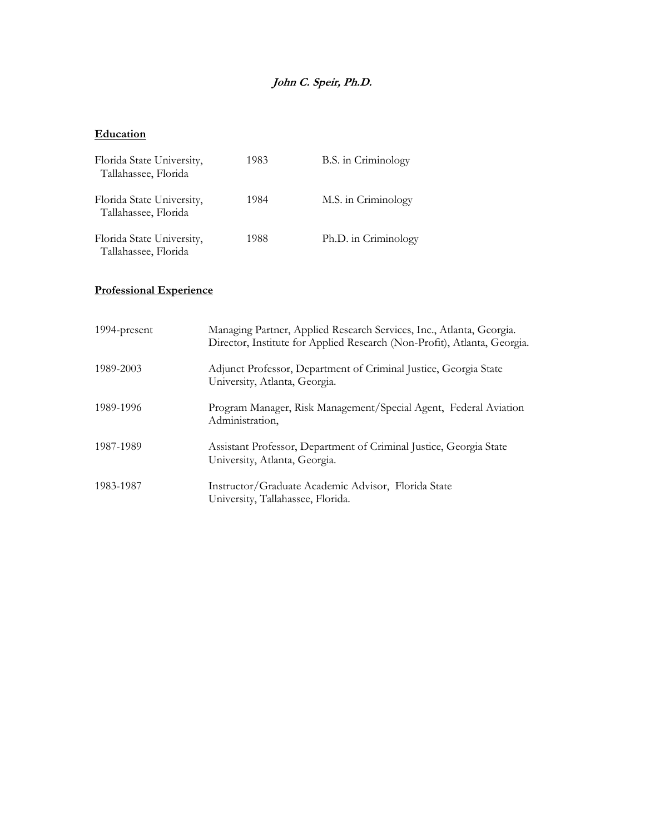# **John C. Speir, Ph.D.**

# **Education**

| Florida State University,<br>Tallahassee, Florida | 1983 | B.S. in Criminology  |
|---------------------------------------------------|------|----------------------|
| Florida State University,<br>Tallahassee, Florida | 1984 | M.S. in Criminology  |
| Florida State University,<br>Tallahassee, Florida | 1988 | Ph.D. in Criminology |

# **Professional Experience**

| 1994-present | Managing Partner, Applied Research Services, Inc., Atlanta, Georgia.<br>Director, Institute for Applied Research (Non-Profit), Atlanta, Georgia. |
|--------------|--------------------------------------------------------------------------------------------------------------------------------------------------|
| 1989-2003    | Adjunct Professor, Department of Criminal Justice, Georgia State<br>University, Atlanta, Georgia.                                                |
| 1989-1996    | Program Manager, Risk Management/Special Agent, Federal Aviation<br>Administration,                                                              |
| 1987-1989    | Assistant Professor, Department of Criminal Justice, Georgia State<br>University, Atlanta, Georgia.                                              |
| 1983-1987    | Instructor/Graduate Academic Advisor, Florida State<br>University, Tallahassee, Florida.                                                         |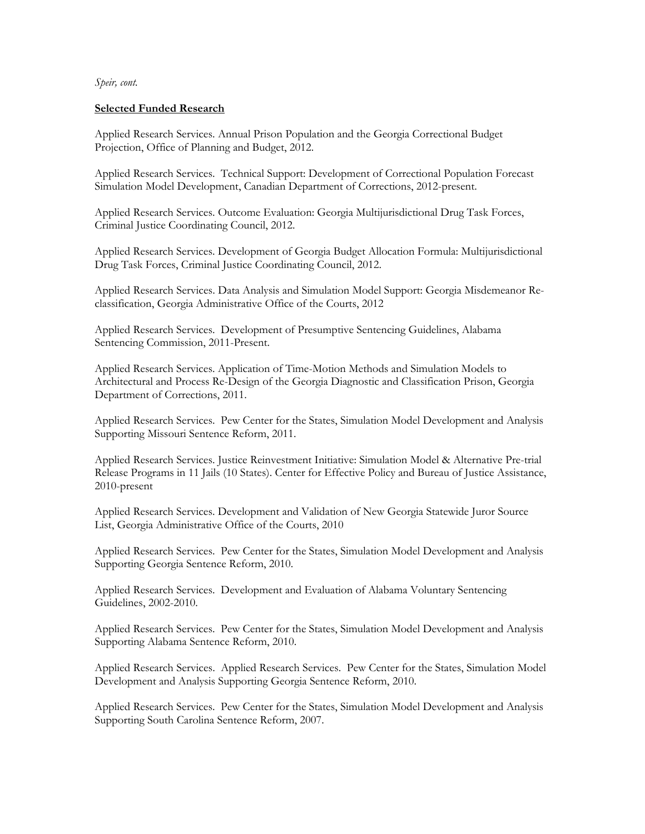# **Selected Funded Research**

Applied Research Services. Annual Prison Population and the Georgia Correctional Budget Projection, Office of Planning and Budget, 2012.

Applied Research Services. Technical Support: Development of Correctional Population Forecast Simulation Model Development, Canadian Department of Corrections, 2012-present.

Applied Research Services. Outcome Evaluation: Georgia Multijurisdictional Drug Task Forces, Criminal Justice Coordinating Council, 2012.

Applied Research Services. Development of Georgia Budget Allocation Formula: Multijurisdictional Drug Task Forces, Criminal Justice Coordinating Council, 2012.

Applied Research Services. Data Analysis and Simulation Model Support: Georgia Misdemeanor Reclassification, Georgia Administrative Office of the Courts, 2012

Applied Research Services. Development of Presumptive Sentencing Guidelines, Alabama Sentencing Commission, 2011-Present.

Applied Research Services. Application of Time-Motion Methods and Simulation Models to Architectural and Process Re-Design of the Georgia Diagnostic and Classification Prison, Georgia Department of Corrections, 2011.

Applied Research Services. Pew Center for the States, Simulation Model Development and Analysis Supporting Missouri Sentence Reform, 2011.

Applied Research Services. Justice Reinvestment Initiative: Simulation Model & Alternative Pre-trial Release Programs in 11 Jails (10 States). Center for Effective Policy and Bureau of Justice Assistance, 2010-present

Applied Research Services. Development and Validation of New Georgia Statewide Juror Source List, Georgia Administrative Office of the Courts, 2010

Applied Research Services. Pew Center for the States, Simulation Model Development and Analysis Supporting Georgia Sentence Reform, 2010.

Applied Research Services. Development and Evaluation of Alabama Voluntary Sentencing Guidelines, 2002-2010.

Applied Research Services. Pew Center for the States, Simulation Model Development and Analysis Supporting Alabama Sentence Reform, 2010.

Applied Research Services. Applied Research Services. Pew Center for the States, Simulation Model Development and Analysis Supporting Georgia Sentence Reform, 2010.

Applied Research Services. Pew Center for the States, Simulation Model Development and Analysis Supporting South Carolina Sentence Reform, 2007.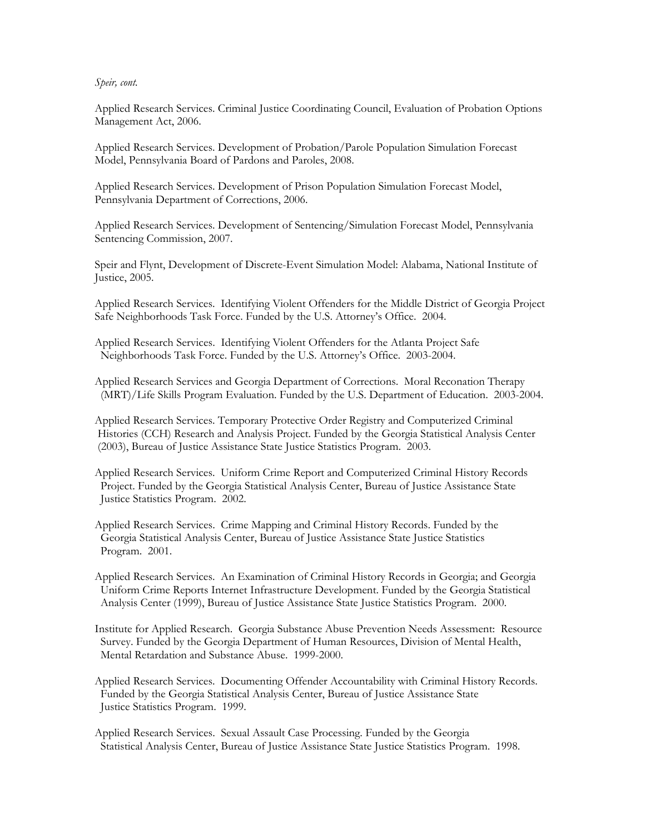Applied Research Services. Criminal Justice Coordinating Council, Evaluation of Probation Options Management Act, 2006.

Applied Research Services. Development of Probation/Parole Population Simulation Forecast Model, Pennsylvania Board of Pardons and Paroles, 2008.

Applied Research Services. Development of Prison Population Simulation Forecast Model, Pennsylvania Department of Corrections, 2006.

Applied Research Services. Development of Sentencing/Simulation Forecast Model, Pennsylvania Sentencing Commission, 2007.

Speir and Flynt, Development of Discrete-Event Simulation Model: Alabama, National Institute of Justice, 2005.

Applied Research Services. Identifying Violent Offenders for the Middle District of Georgia Project Safe Neighborhoods Task Force. Funded by the U.S. Attorney's Office. 2004.

Applied Research Services. Identifying Violent Offenders for the Atlanta Project Safe Neighborhoods Task Force. Funded by the U.S. Attorney's Office. 2003-2004.

Applied Research Services and Georgia Department of Corrections. Moral Reconation Therapy (MRT)/Life Skills Program Evaluation. Funded by the U.S. Department of Education. 2003-2004.

Applied Research Services. Temporary Protective Order Registry and Computerized Criminal Histories (CCH) Research and Analysis Project. Funded by the Georgia Statistical Analysis Center (2003), Bureau of Justice Assistance State Justice Statistics Program. 2003.

Applied Research Services. Uniform Crime Report and Computerized Criminal History Records Project. Funded by the Georgia Statistical Analysis Center, Bureau of Justice Assistance State Justice Statistics Program. 2002.

Applied Research Services. Crime Mapping and Criminal History Records. Funded by the Georgia Statistical Analysis Center, Bureau of Justice Assistance State Justice Statistics Program. 2001.

Applied Research Services. An Examination of Criminal History Records in Georgia; and Georgia Uniform Crime Reports Internet Infrastructure Development. Funded by the Georgia Statistical Analysis Center (1999), Bureau of Justice Assistance State Justice Statistics Program. 2000.

Institute for Applied Research. Georgia Substance Abuse Prevention Needs Assessment: Resource Survey. Funded by the Georgia Department of Human Resources, Division of Mental Health, Mental Retardation and Substance Abuse. 1999-2000.

Applied Research Services. Documenting Offender Accountability with Criminal History Records. Funded by the Georgia Statistical Analysis Center, Bureau of Justice Assistance State Justice Statistics Program. 1999.

Applied Research Services. Sexual Assault Case Processing. Funded by the Georgia Statistical Analysis Center, Bureau of Justice Assistance State Justice Statistics Program. 1998.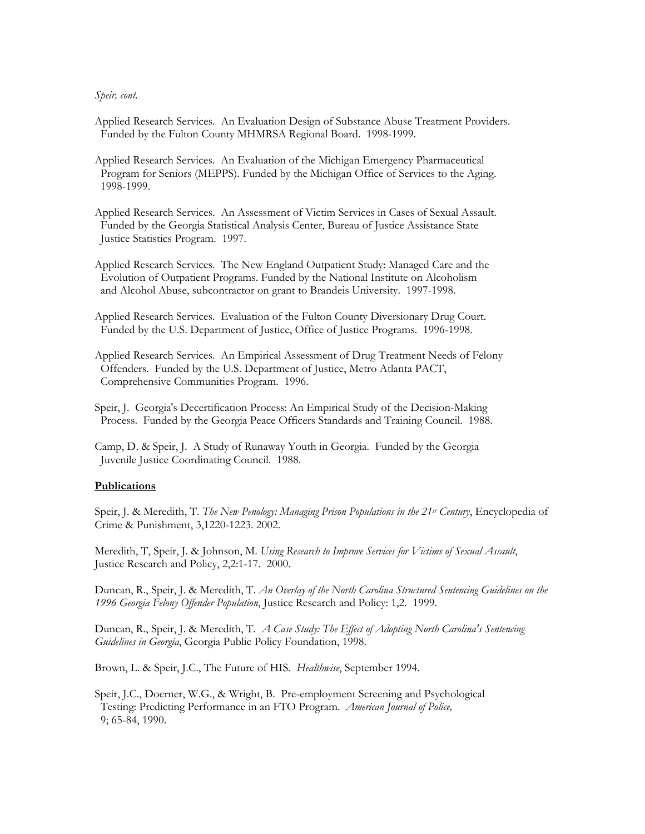Applied Research Services. An Evaluation Design of Substance Abuse Treatment Providers. Funded by the Fulton County MHMRSA Regional Board. 1998-1999.

Applied Research Services. An Evaluation of the Michigan Emergency Pharmaceutical Program for Seniors (MEPPS). Funded by the Michigan Office of Services to the Aging. 1998-1999.

Applied Research Services. An Assessment of Victim Services in Cases of Sexual Assault. Funded by the Georgia Statistical Analysis Center, Bureau of Justice Assistance State Justice Statistics Program. 1997.

Applied Research Services. The New England Outpatient Study: Managed Care and the Evolution of Outpatient Programs. Funded by the National Institute on Alcoholism and Alcohol Abuse, subcontractor on grant to Brandeis University. 1997-1998.

Applied Research Services. Evaluation of the Fulton County Diversionary Drug Court. Funded by the U.S. Department of Justice, Office of Justice Programs. 1996-1998.

Applied Research Services. An Empirical Assessment of Drug Treatment Needs of Felony Offenders. Funded by the U.S. Department of Justice, Metro Atlanta PACT, Comprehensive Communities Program. 1996.

Speir, J. Georgia's Decertification Process: An Empirical Study of the Decision-Making Process. Funded by the Georgia Peace Officers Standards and Training Council. 1988.

Camp, D. & Speir, J. A Study of Runaway Youth in Georgia. Funded by the Georgia Juvenile Justice Coordinating Council. 1988.

### **Publications**

Speir, J. & Meredith, T. *The New Penology: Managing Prison Populations in the 21st Century*, Encyclopedia of Crime & Punishment, 3,1220-1223. 2002.

Meredith, T, Speir, J. & Johnson, M. *Using Research to Improve Services for Victims of Sexual Assault*, Justice Research and Policy, 2,2:1-17. 2000.

Duncan, R., Speir, J. & Meredith, T. *An Overlay of the North Carolina Structured Sentencing Guidelines on the 1996 Georgia Felony Offender Population*, Justice Research and Policy: 1,2. 1999.

Duncan, R., Speir, J. & Meredith, T*. A Case Study: The Effect of Adopting North Carolina's Sentencing Guidelines in Georgia*, Georgia Public Policy Foundation, 1998.

Brown, L. & Speir, J.C., The Future of HIS*. Healthwise*, September 1994.

Speir, J.C., Doerner, W.G., & Wright, B. Pre-employment Screening and Psychological Testing: Predicting Performance in an FTO Program. *American Journal of Police,* 9; 65-84, 1990.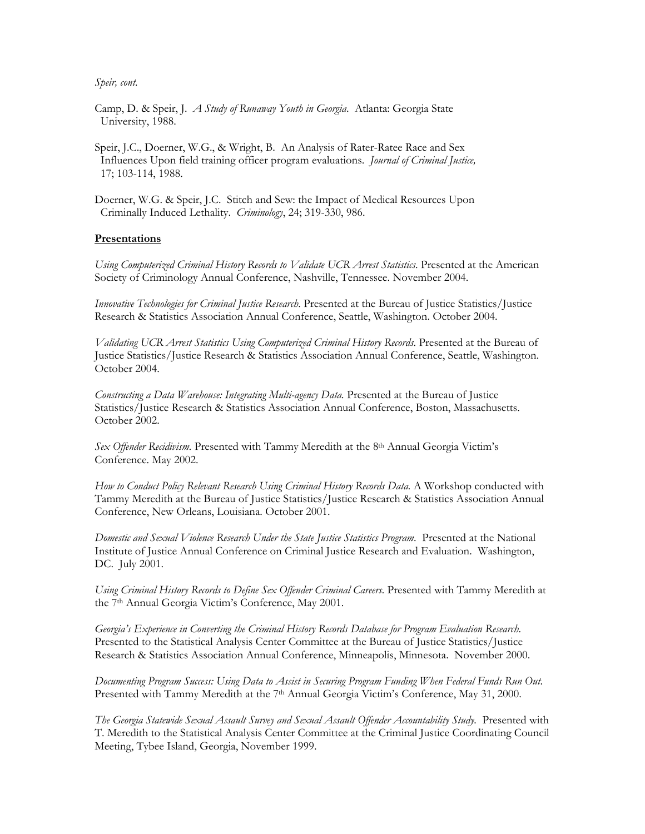Camp, D. & Speir, J. *A Study of Runaway Youth in Georgia*. Atlanta: Georgia State University, 1988.

Speir, J.C., Doerner, W.G., & Wright, B. An Analysis of Rater-Ratee Race and Sex Influences Upon field training officer program evaluations. *Journal of Criminal Justice,* 17; 103-114, 1988.

Doerner, W.G. & Speir, J.C. Stitch and Sew: the Impact of Medical Resources Upon Criminally Induced Lethality. *Criminology*, 24; 319-330, 986.

### **Presentations**

*Using Computerized Criminal History Records to Validate UCR Arrest Statistics*. Presented at the American Society of Criminology Annual Conference, Nashville, Tennessee. November 2004.

*Innovative Technologies for Criminal Justice Research*. Presented at the Bureau of Justice Statistics/Justice Research & Statistics Association Annual Conference, Seattle, Washington. October 2004.

*Validating UCR Arrest Statistics Using Computerized Criminal History Records*. Presented at the Bureau of Justice Statistics/Justice Research & Statistics Association Annual Conference, Seattle, Washington. October 2004.

*Constructing a Data Warehouse: Integrating Multi-agency Data.* Presented at the Bureau of Justice Statistics/Justice Research & Statistics Association Annual Conference, Boston, Massachusetts. October 2002.

*Sex Offender Recidivism.* Presented with Tammy Meredith at the 8th Annual Georgia Victim's Conference. May 2002.

*How to Conduct Policy Relevant Research Using Criminal History Records Data.* A Workshop conducted with Tammy Meredith at the Bureau of Justice Statistics/Justice Research & Statistics Association Annual Conference, New Orleans, Louisiana. October 2001.

*Domestic and Sexual Violence Research Under the State Justice Statistics Program*. Presented at the National Institute of Justice Annual Conference on Criminal Justice Research and Evaluation. Washington, DC. July 2001.

*Using Criminal History Records to Define Sex Offender Criminal Careers.* Presented with Tammy Meredith at the 7th Annual Georgia Victim's Conference, May 2001.

*Georgia's Experience in Converting the Criminal History Records Database for Program Evaluation Research*. Presented to the Statistical Analysis Center Committee at the Bureau of Justice Statistics/Justice Research & Statistics Association Annual Conference, Minneapolis, Minnesota. November 2000.

*Documenting Program Success: Using Data to Assist in Securing Program Funding When Federal Funds Run Out*. Presented with Tammy Meredith at the 7<sup>th</sup> Annual Georgia Victim's Conference, May 31, 2000.

*The Georgia Statewide Sexual Assault Survey and Sexual Assault Offender Accountability Study.* Presented with T. Meredith to the Statistical Analysis Center Committee at the Criminal Justice Coordinating Council Meeting, Tybee Island, Georgia, November 1999.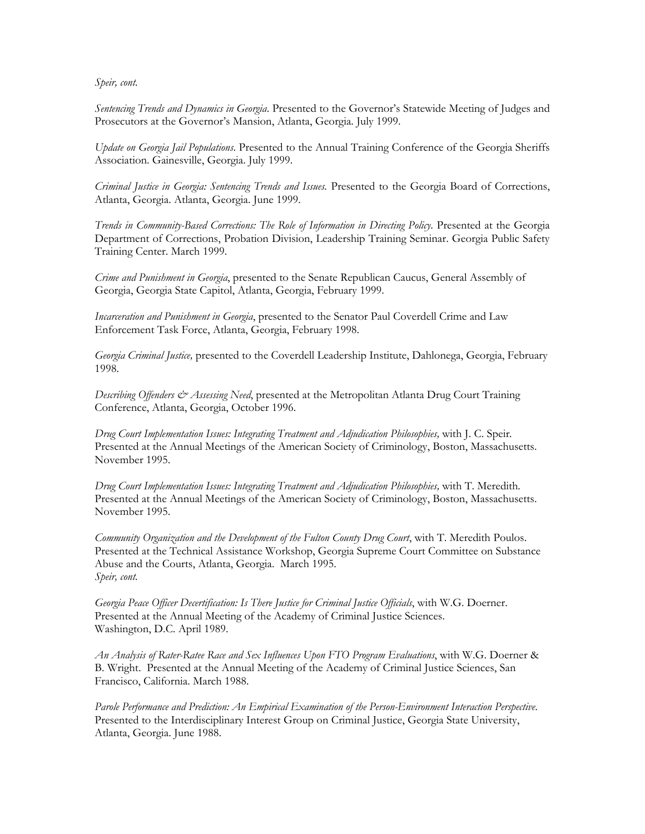*Sentencing Trends and Dynamics in Georgia*. Presented to the Governor's Statewide Meeting of Judges and Prosecutors at the Governor's Mansion, Atlanta, Georgia. July 1999.

*Update on Georgia Jail Populations*. Presented to the Annual Training Conference of the Georgia Sheriffs Association. Gainesville, Georgia. July 1999.

*Criminal Justice in Georgia: Sentencing Trends and Issues.* Presented to the Georgia Board of Corrections, Atlanta, Georgia. Atlanta, Georgia. June 1999.

*Trends in Community-Based Corrections: The Role of Information in Directing Policy*. Presented at the Georgia Department of Corrections, Probation Division, Leadership Training Seminar. Georgia Public Safety Training Center. March 1999.

*Crime and Punishment in Georgia*, presented to the Senate Republican Caucus, General Assembly of Georgia, Georgia State Capitol, Atlanta, Georgia, February 1999.

*Incarceration and Punishment in Georgia*, presented to the Senator Paul Coverdell Crime and Law Enforcement Task Force, Atlanta, Georgia, February 1998.

*Georgia Criminal Justice,* presented to the Coverdell Leadership Institute, Dahlonega, Georgia, February 1998.

*Describing Offenders & Assessing Need*, presented at the Metropolitan Atlanta Drug Court Training Conference, Atlanta, Georgia, October 1996.

*Drug Court Implementation Issues: Integrating Treatment and Adjudication Philosophies,* with J. C. Speir*.* Presented at the Annual Meetings of the American Society of Criminology, Boston, Massachusetts. November 1995.

*Drug Court Implementation Issues: Integrating Treatment and Adjudication Philosophies,* with T. Meredith*.* Presented at the Annual Meetings of the American Society of Criminology, Boston, Massachusetts. November 1995.

*Community Organization and the Development of the Fulton County Drug Court*, with T. Meredith Poulos. Presented at the Technical Assistance Workshop, Georgia Supreme Court Committee on Substance Abuse and the Courts, Atlanta, Georgia. March 1995. *Speir, cont.* 

*Georgia Peace Officer Decertification: Is There Justice for Criminal Justice Officials*, with W.G. Doerner. Presented at the Annual Meeting of the Academy of Criminal Justice Sciences. Washington, D.C. April 1989.

*An Analysis of Rater-Ratee Race and Sex Influences Upon FTO Program Evaluations*, with W.G. Doerner & B. Wright. Presented at the Annual Meeting of the Academy of Criminal Justice Sciences, San Francisco, California. March 1988.

*Parole Performance and Prediction: An Empirical Examination of the Person-Environment Interaction Perspective*. Presented to the Interdisciplinary Interest Group on Criminal Justice, Georgia State University, Atlanta, Georgia. June 1988.